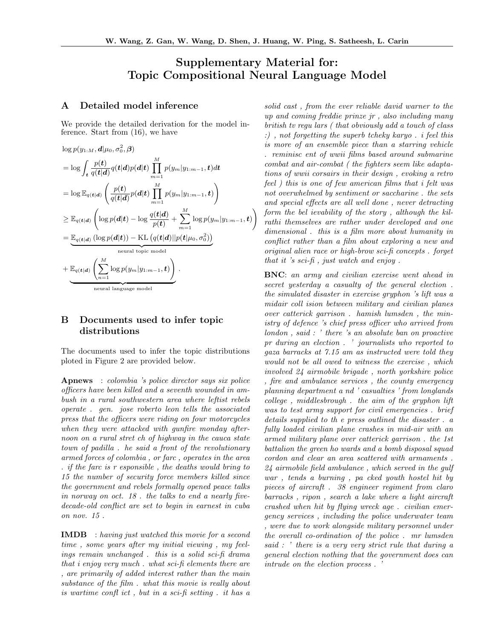# Supplementary Material for: Topic Compositional Neural Language Model

### A Detailed model inference

We provide the detailed derivation for the model inference. Start from (16), we have

$$
\log p(y_{1:M}, \boldsymbol{d} | \mu_0, \sigma_0^2, \boldsymbol{\beta})
$$
\n
$$
= \log \int_{\boldsymbol{t}} \frac{p(\boldsymbol{t})}{q(\boldsymbol{t}|\boldsymbol{d})} q(\boldsymbol{t}|\boldsymbol{d}) p(\boldsymbol{d}|\boldsymbol{t}) \prod_{m=1}^{M} p(y_m | y_{1:m-1}, \boldsymbol{t}) d\boldsymbol{t}
$$
\n
$$
= \log \mathbb{E}_{q(\boldsymbol{t}|\boldsymbol{d})} \left( \frac{p(\boldsymbol{t})}{q(\boldsymbol{t}|\boldsymbol{d})} p(\boldsymbol{d}|\boldsymbol{t}) \prod_{m=1}^{M} p(y_m | y_{1:m-1}, \boldsymbol{t}) \right)
$$
\n
$$
\geq \mathbb{E}_{q(\boldsymbol{t}|\boldsymbol{d})} \left( \log p(\boldsymbol{d}|\boldsymbol{t}) - \log \frac{q(\boldsymbol{t}|\boldsymbol{d})}{p(\boldsymbol{t})} + \sum_{m=1}^{M} \log p(y_m | y_{1:m-1}, \boldsymbol{t}) \right)
$$
\n
$$
= \underbrace{\mathbb{E}_{q(\boldsymbol{t}|\boldsymbol{d})} \left( \log p(\boldsymbol{d}|\boldsymbol{t}) \right) - \text{KL} \left( q(\boldsymbol{t}|\boldsymbol{d}) || p(\boldsymbol{t} | \mu_0, \sigma_0^2) \right)}_{\text{neutral topic model}}
$$
\n
$$
+ \underbrace{\mathbb{E}_{q(\boldsymbol{t}|\boldsymbol{d})} \left( \sum_{n=1}^{M} \log p(y_m | y_{1:m-1}, \boldsymbol{t}) \right)}_{\text{neutral language model}}.
$$

## B Documents used to infer topic distributions

The documents used to infer the topic distributions ploted in Figure 2 are provided below.

Apnews : colombia 's police director says six police officers have been killed and a seventh wounded in ambush in a rural southwestern area where leftist rebels operate . gen. jose roberto leon tells the associated press that the officers were riding on four motorcycles when they were attacked with gunfire monday afternoon on a rural stret ch of highway in the cauca state town of padilla . he said a front of the revolutionary armed forces of colombia , or farc , operates in the area . if the farc is r esponsible , the deaths would bring to 15 the number of security force members killed since the government and rebels formally opened peace talks in norway on oct. 18 . the talks to end a nearly fivedecade-old conflict are set to begin in earnest in cuba on nov. 15 .

IMDB : having just watched this movie for a second time , some years after my initial viewing , my feelings remain unchanged . this is a solid sci-fi drama that i enjoy very much . what sci-fi elements there are , are primarily of added interest rather than the main substance of the film . what this movie is really about is wartime confl ict , but in a sci-fi setting . it has a

solid cast , from the ever reliable david warner to the up and coming freddie prinze jr , also including many british tv regu lars ( that obviously add a touch of class :) , not forgetting the superb tcheky karyo . i feel this is more of an ensemble piece than a starring vehicle . reminisc ent of wwii films based around submarine combat and air-combat ( the fighters seem like adaptations of wwii corsairs in their design , evoking a retro feel ) this is one of few american films that i felt was not overwhelmed by sentiment or saccharine . the sets and special effects are all well done , never detracting form the bel ievability of the story , although the kilrathi themselves are rather under developed and one dimensional . this is a film more about humanity in conflict rather than a film about exploring a new and original alien race or high-brow sci-fi concepts . forget that it 's sci-fi , just watch and enjoy .

BNC: an army and civilian exercise went ahead in secret yesterday a casualty of the general election . the simulated disaster in exercise gryphon 's lift was a midair coll ision between military and civilian planes over catterick garrison . hamish lumsden , the ministry of defence 's chief press officer who arrived from london , said : ' there 's an absolute ban on proactive pr during an election . ' journalists who reported to gaza barracks at 7.15 am as instructed were told they would not be all owed to witness the exercise , which involved 24 airmobile brigade , north yorkshire police , fire and ambulance services , the county emergency planning department a nd ' casualties ' from longlands college , middlesbrough . the aim of the gryphon lift was to test army support for civil emergencies . brief details supplied to th e press outlined the disaster . a fully loaded civilian plane crashes in mid-air with an armed military plane over catterick garrison . the 1st battalion the green ho wards and a bomb disposal squad cordon and clear an area scattered with armaments . 24 airmobile field ambulance , which served in the gulf war , tends a burning , pa cked youth hostel hit by pieces of aircraft . 38 engineer regiment from claro barracks , ripon , search a lake where a light aircraft crashed when hit by flying wreck age . civilian emergency services , including the police underwater team , were due to work alongside military personnel under the overall co-ordination of the police . mr lumsden said : ' there is a very very strict rule that during a general election nothing that the government does can intrude on the election process . '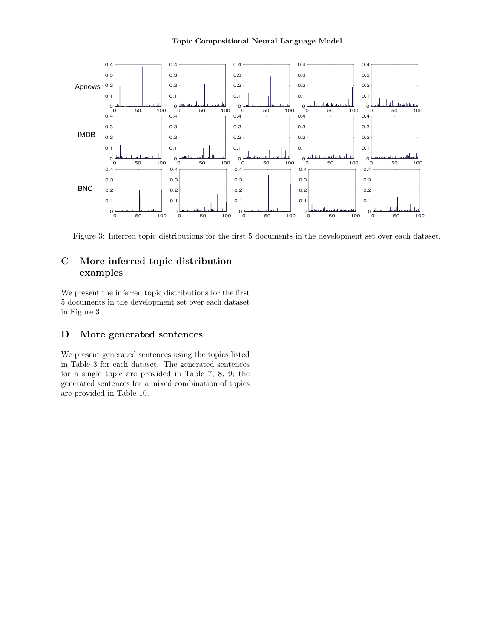

Figure 3: Inferred topic distributions for the first 5 documents in the development set over each dataset.

## C More inferred topic distribution examples

We present the inferred topic distributions for the first 5 documents in the development set over each dataset in Figure 3.

## D More generated sentences

We present generated sentences using the topics listed in Table 3 for each dataset. The generated sentences for a single topic are provided in Table 7, 8, 9; the generated sentences for a mixed combination of topics are provided in Table 10.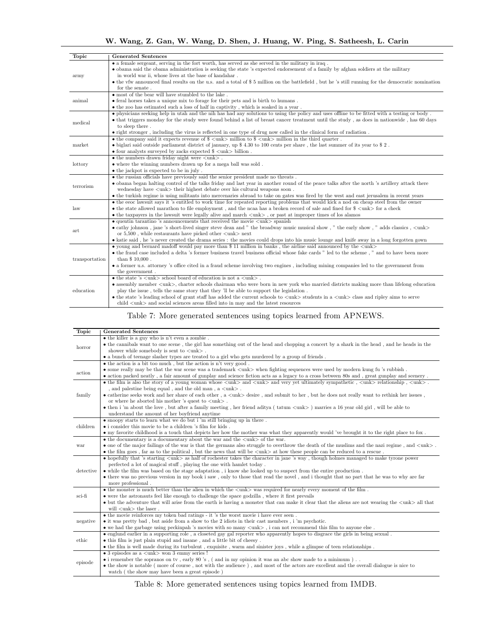W. Wang, Z. Gan, W. Wang, D. Shen, J. Huang, W. Ping, S. Satheesh, L. Carin

| <b>Topic</b>   | <b>Generated Sentences</b>                                                                                                                                                 |
|----------------|----------------------------------------------------------------------------------------------------------------------------------------------------------------------------|
|                | • a female sergeant, serving in the fort worth, has served as she served in the military in iraq.                                                                          |
|                | • obama said the obama administration is seeking the state 's expected endorsement of a family by afghan soldiers at the military                                          |
| army           | in world war ii, whose lives at the base of kandahar.                                                                                                                      |
|                | • the vfw announced final results on the u.s. and a total of \$ 5 million on the battlefield, but he 's still running for the democratic nomination                        |
|                | for the senate.                                                                                                                                                            |
| animal         | • most of the bear will have stumbled to the lake.                                                                                                                         |
|                | • feral horses takes a unique mix to forage for their pets and is birth to humans.                                                                                         |
|                | • the zoo has estimated such a loss of half in captivity, which is soaked in a year.                                                                                       |
|                | • physicians seeking help in utah and the nih has had any solutions to using the policy and uses offline to be fitted with a testing or body.                              |
| medical        | • that triggers monday for the study were found behind a list of breast cancer treatment until the study, as does in nationwide, has 60 days                               |
|                | to sleep there.                                                                                                                                                            |
|                | • right stronger, including the virus is reflected in one type of drug now called in the clinical form of radiation.                                                       |
|                | • the company said it expects revenue of $\gamma$ < unk > million to $\gamma$ < unk > million in the third quarter.                                                        |
| market         | • biglari said outside parliament district of january, up $$4.30$ to 100 cents per share, the last summer of its year to $$2$ .                                            |
|                | $\bullet$ four analysts surveyed by zacks expected $\%$ <unk> billion.</unk>                                                                                               |
|                | $\bullet$ the numbers drawn friday night were $\langle \text{unk} \rangle$ .                                                                                               |
| lottory        | • where the winning numbers drawn up for a mega ball was sold.                                                                                                             |
|                | • the jackpot is expected to be in july.                                                                                                                                   |
|                | • the russian officials have previously said the senior president made no threats.                                                                                         |
| terrorism      | • obama began halting control of the talks friday and last year in another round of the peace talks after the north 's artillery attack there                              |
|                | wednesday have $\langle$ unk $\rangle$ their highest debate over his cultural weapons soon.                                                                                |
|                | • the turkish regime is using militants into mercenaries abroad to take on gates was fired by the west and east jerusalem in recent years                                  |
|                | • the eeoc lawsuit says it 's entitled to work time for repeated reporting problems that would kick a nod on cheap steel from the owner                                    |
| law            | • the state allowed marathon to file employment, and the ncaa has a broken record of sale and fined for $\frac{1}{2}$ < unk > for a check                                  |
|                | • the taxpayers in the lawsuit were legally alive and march $\langle$ unk $\rangle$ , or past at improper times of los alamos                                              |
|                | $\bullet$ quentin tarantino 's announcements that received the movie $\langle \text{unk} \rangle$ spanish                                                                  |
| art            | • cathy johnson, jane 's short-lived singer steve dean and " the broadway music musical show, " the early show, " adds classics, $\langle$ unk $\rangle$                   |
|                | or $5.500$ , while restaurants have picked other $\langle$ unk $\rangle$ next                                                                                              |
|                | • katie said, he 's never created the drama series : the movies could drops into his music lounge and knife away in a long forgotten gown                                  |
|                | • young and bernard madoff would pay more than \$ 11 million in banks, the airline said announced by the $\langle \text{unk} \rangle$                                      |
|                | • the fraud case included a delta 's former business travel business official whose fake cards " led to the scheme, " and to have been more                                |
| transportation | than $$10,000$ .                                                                                                                                                           |
|                | • a former u.s. attorney's office cited in a fraud scheme involving two engines, including mining companies led to the government from                                     |
|                | the government.                                                                                                                                                            |
| education      | $\bullet$ the state 's $\langle$ unk $\rangle$ school board of education is not a $\langle$ unk $\rangle$ .                                                                |
|                | • assembly member $\langle$ unk>, charter schools chairman who were born in new york who married districts making more than lifelong education                             |
|                | play the issue, tells the same story that they 'll be able to support the legislation.                                                                                     |
|                | • the state 's leading school of grant staff has added the current schools to $\langle$ unk $\rangle$ students in a $\langle$ unk $\rangle$ class and ripley aims to serve |
|                | child $\langle$ unk $\rangle$ and social sciences areas filled into in may and the latest resources                                                                        |

## Table 7: More generated sentences using topics learned from APNEWS.

| <b>Topic</b> | <b>Generated Sentences</b>                                                                                                                                                                                                       |  |  |
|--------------|----------------------------------------------------------------------------------------------------------------------------------------------------------------------------------------------------------------------------------|--|--|
| horror       | • the killer is a guy who is n't even a zombie.                                                                                                                                                                                  |  |  |
|              | • the cannibals want to one scene, the girl has something out of the head and chopping a concert by a shark in the head, and he heads in the                                                                                     |  |  |
|              | shower while somebody is sent to $\langle \text{unk} \rangle$ .                                                                                                                                                                  |  |  |
|              | • a bunch of teenage slasher types are treated to a girl who gets murdered by a group of friends.                                                                                                                                |  |  |
|              | $\bullet$ the action is a bit too much, but the action is n't very good.                                                                                                                                                         |  |  |
| action       | • some really may be that the war scene was a trademark $\langle$ unk $\rangle$ when fighting sequences were used by modern kung fu 's rubbish.                                                                                  |  |  |
|              | • action packed neatly, a fair amount of gunplay and science fiction acts as a legacy to a cross between 80s and, great gunplay and scenery.                                                                                     |  |  |
|              | • the film is also the story of a young woman whose $\langle \text{unk} \rangle$ and $\langle \text{unk} \rangle$ and very yet ultimately sympathetic, $\langle \text{unk} \rangle$ relationship, $\langle \text{unk} \rangle$ . |  |  |
|              | , and palestine being equal , and the old man , a $\langle \text{unk} \rangle$ .                                                                                                                                                 |  |  |
| family       | • catherine seeks work and her share of each other, a $\langle \text{unk} \rangle$ desire, and submit to her, but he does not really want to rethink her issues,                                                                 |  |  |
|              | or where he aborted his mother 's quest to $\langle \text{unk} \rangle$ .                                                                                                                                                        |  |  |
|              | • then i 'm about the love, but after a family meeting, her friend aditya (tatum <unk>) marries a 16 year old girl, will be able to</unk>                                                                                        |  |  |
|              | understand the amount of her boyfriend anytime                                                                                                                                                                                   |  |  |
|              | • snoopy starts to learn what we do but i 'm still bringing up in there.                                                                                                                                                         |  |  |
| children     | $\bullet$ i consider this movie to be a children 's film for kids.                                                                                                                                                               |  |  |
|              | • my favorite childhood is a touch that depicts her how the mother was what they apparently would 've brought it to the right place to fox.                                                                                      |  |  |
|              | $\bullet$ the documentary is a documentary about the war and the $\langle \text{unk} \rangle$ of the war.                                                                                                                        |  |  |
| war          | • one of the major failings of the war is that the germans also struggle to overthrow the death of the muslims and the nazi regime, and $\langle \text{unk} \rangle$ .                                                           |  |  |
|              | $\bullet$ the film goes, far as to the political, but the news that will be $\langle$ unk $\rangle$ at how these people can be reduced to a rescue.                                                                              |  |  |
|              | • hopefully that 's starting $\langle$ unk > as half of rochester takes the character in jane 's way, though holmes managed to make tyrone power                                                                                 |  |  |
|              | perfected a lot of magical stuff, playing the one with hamlet today.                                                                                                                                                             |  |  |
| detective    | • while the film was based on the stage adaptation, i know she looked up to suspect from the entire production.                                                                                                                  |  |  |
|              | • there was no previous version in my book i saw, only to those that read the novel, and i thought that no part that he was to why are far                                                                                       |  |  |
|              | more professional.                                                                                                                                                                                                               |  |  |
| sci-fi       | $\bullet$ the monster is much better than the alien in which the $\langle \text{unk} \rangle$ was required for nearly every moment of the film.                                                                                  |  |  |
|              | • were the astronauts feel like enough to challenge the space godzilla, where it first prevails                                                                                                                                  |  |  |
|              | • but the adventure that will arise from the earth is having a monster that can make it clear that the aliens are not wearing the $\langle$ unk $\rangle$ all that                                                               |  |  |
|              | will $\langle$ unk $\rangle$ the laser.                                                                                                                                                                                          |  |  |
|              | • the movie reinforces my token bad ratings - it 's the worst movie i have ever seen.                                                                                                                                            |  |  |
| negative     | $\bullet$ it was pretty bad, but aside from a show to the 2 idiots in their cast members, i 'm psychotic.                                                                                                                        |  |  |
|              | $\bullet$ we had the garbage using peckinpah 's movies with so many $\langle$ unk $\rangle$ , i can not recommend this film to anyone else.                                                                                      |  |  |
| ethic        | • englund earlier in a supporting role, a closeted gay gal reporter who apparently hopes to disgrace the girls in being sexual.                                                                                                  |  |  |
|              | • this film is just plain stupid and insane, and a little bit of cheesy.                                                                                                                                                         |  |  |
|              | • the film is well made during its turbulent, exquisite, warm and sinister joys, while a glimpse of teen relationships.                                                                                                          |  |  |
| episode      | $\bullet$ 3 episodes as a $\langle$ unk $\rangle$ won 3 emmy series !                                                                                                                                                            |  |  |
|              | • i remember the sopranos on tv, early $80$ 's, (and in my opinion it was an abc show made to a minimum).                                                                                                                        |  |  |
|              | • the show is notable (more of course, not with the audience), and most of the actors are excellent and the overall dialogue is nice to                                                                                          |  |  |
|              | watch (the show may have been a great episode)                                                                                                                                                                                   |  |  |

Table 8: More generated sentences using topics learned from IMDB.